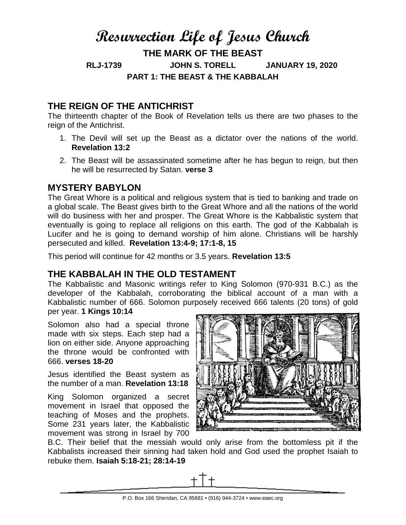# **Resurrection Life of Jesus Church**

**THE MARK OF THE BEAST**

**RLJ-1739 JOHN S. TORELL JANUARY 19, 2020 PART 1: THE BEAST & THE KABBALAH**

## **THE REIGN OF THE ANTICHRIST**

The thirteenth chapter of the Book of Revelation tells us there are two phases to the reign of the Antichrist.

- 1. The Devil will set up the Beast as a dictator over the nations of the world. **Revelation 13:2**
- 2. The Beast will be assassinated sometime after he has begun to reign, but then he will be resurrected by Satan. **verse 3**

## **MYSTERY BABYLON**

The Great Whore is a political and religious system that is tied to banking and trade on a global scale. The Beast gives birth to the Great Whore and all the nations of the world will do business with her and prosper. The Great Whore is the Kabbalistic system that eventually is going to replace all religions on this earth. The god of the Kabbalah is Lucifer and he is going to demand worship of him alone. Christians will be harshly persecuted and killed. **Revelation 13:4-9; 17:1-8, 15**

This period will continue for 42 months or 3.5 years. **Revelation 13:5**

## **THE KABBALAH IN THE OLD TESTAMENT**

The Kabbalistic and Masonic writings refer to King Solomon (970-931 B.C.) as the developer of the Kabbalah, corroborating the biblical account of a man with a Kabbalistic number of 666. Solomon purposely received 666 talents (20 tons) of gold per year. **1 Kings 10:14**

Solomon also had a special throne made with six steps. Each step had a lion on either side. Anyone approaching the throne would be confronted with 666. **verses 18-20**

Jesus identified the Beast system as the number of a man. **Revelation 13:18**

King Solomon organized a secret movement in Israel that opposed the teaching of Moses and the prophets. Some 231 years later, the Kabbalistic movement was strong in Israel by 700



B.C. Their belief that the messiah would only arise from the bottomless pit if the Kabbalists increased their sinning had taken hold and God used the prophet Isaiah to rebuke them. **Isaiah 5:18-21; 28:14-19**

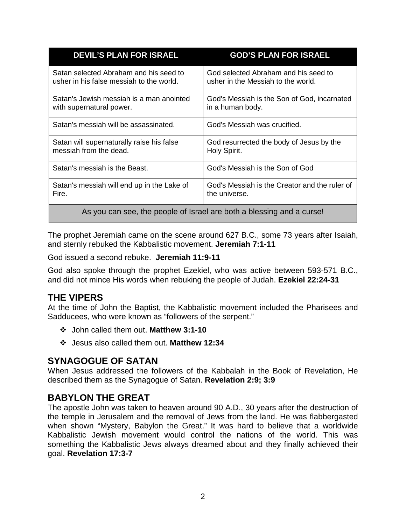| <b>DEVIL'S PLAN FOR ISRAEL</b>                                        | <b>GOD'S PLAN FOR ISRAEL</b>                  |
|-----------------------------------------------------------------------|-----------------------------------------------|
| Satan selected Abraham and his seed to                                | God selected Abraham and his seed to          |
| usher in his false messiah to the world.                              | usher in the Messiah to the world.            |
| Satan's Jewish messiah is a man anointed                              | God's Messiah is the Son of God, incarnated   |
| with supernatural power.                                              | in a human body.                              |
| Satan's messiah will be assassinated.                                 | God's Messiah was crucified.                  |
| Satan will supernaturally raise his false                             | God resurrected the body of Jesus by the      |
| messiah from the dead.                                                | Holy Spirit.                                  |
| Satan's messiah is the Beast.                                         | God's Messiah is the Son of God               |
| Satan's messiah will end up in the Lake of                            | God's Messiah is the Creator and the ruler of |
| Fire.                                                                 | the universe.                                 |
| As you can see, the people of Israel are both a blessing and a curse! |                                               |

The prophet Jeremiah came on the scene around 627 B.C., some 73 years after Isaiah, and sternly rebuked the Kabbalistic movement. **Jeremiah 7:1-11**

God issued a second rebuke. **Jeremiah 11:9-11**

God also spoke through the prophet Ezekiel, who was active between 593-571 B.C., and did not mince His words when rebuking the people of Judah. **Ezekiel 22:24-31**

#### **THE VIPERS**

At the time of John the Baptist, the Kabbalistic movement included the Pharisees and Sadducees, who were known as "followers of the serpent."

- John called them out. **Matthew 3:1-10**
- Jesus also called them out. **Matthew 12:34**

#### **SYNAGOGUE OF SATAN**

When Jesus addressed the followers of the Kabbalah in the Book of Revelation, He described them as the Synagogue of Satan. **Revelation 2:9; 3:9**

#### **BABYLON THE GREAT**

The apostle John was taken to heaven around 90 A.D., 30 years after the destruction of the temple in Jerusalem and the removal of Jews from the land. He was flabbergasted when shown "Mystery, Babylon the Great." It was hard to believe that a worldwide Kabbalistic Jewish movement would control the nations of the world. This was something the Kabbalistic Jews always dreamed about and they finally achieved their goal. **Revelation 17:3-7**